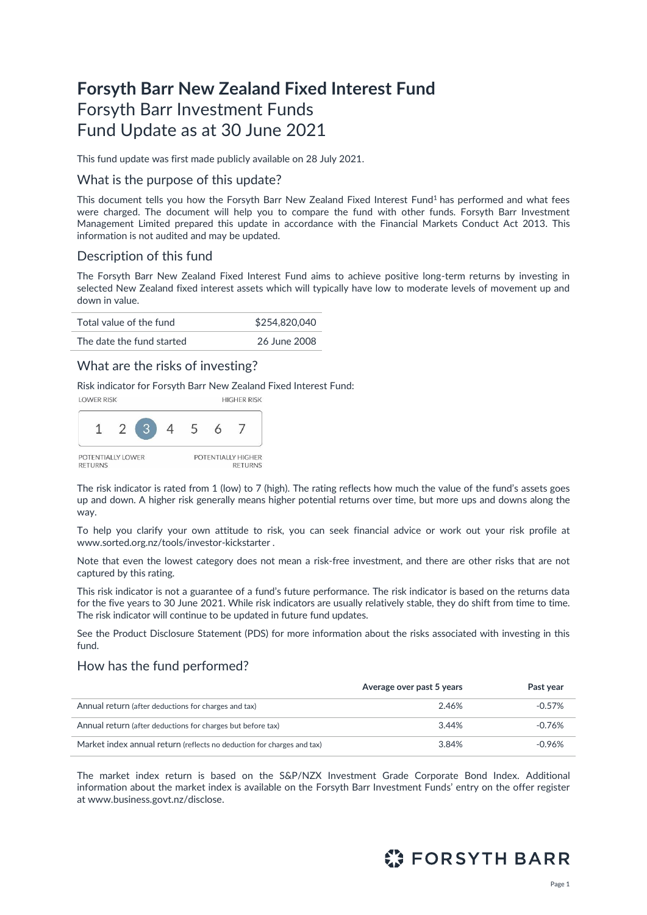# **Forsyth Barr New Zealand Fixed Interest Fund** Forsyth Barr Investment Funds Fund Update as at 30 June 2021

This fund update was first made publicly available on 28 July 2021.

### What is the purpose of this update?

This document tells you how the Forsyth Barr New Zealand Fixed Interest Fund<sup>1</sup> has performed and what fees were charged. The document will help you to compare the fund with other funds. Forsyth Barr Investment Management Limited prepared this update in accordance with the Financial Markets Conduct Act 2013. This information is not audited and may be updated.

### Description of this fund

The Forsyth Barr New Zealand Fixed Interest Fund aims to achieve positive long-term returns by investing in selected New Zealand fixed interest assets which will typically have low to moderate levels of movement up and down in value.

| Total value of the fund   | \$254,820,040 |
|---------------------------|---------------|
| The date the fund started | 26 June 2008  |

# What are the risks of investing?

Risk indicator for Forsyth Barr New Zealand Fixed Interest Fund:



The risk indicator is rated from 1 (low) to 7 (high). The rating reflects how much the value of the fund's assets goes up and down. A higher risk generally means higher potential returns over time, but more ups and downs along the way.

To help you clarify your own attitude to risk, you can seek financial advice or work out your risk profile at [www.sorted.org.nz/tools/investor-kickstarter](http://www.sorted.org.nz/tools/investor-kickstarter) .

Note that even the lowest category does not mean a risk-free investment, and there are other risks that are not captured by this rating.

This risk indicator is not a guarantee of a fund's future performance. The risk indicator is based on the returns data for the five years to 30 June 2021. While risk indicators are usually relatively stable, they do shift from time to time. The risk indicator will continue to be updated in future fund updates.

See the Product Disclosure Statement (PDS) for more information about the risks associated with investing in this fund.

### How has the fund performed?

|                                                                        | Average over past 5 years | Past year |
|------------------------------------------------------------------------|---------------------------|-----------|
| Annual return (after deductions for charges and tax)                   | 2.46%                     | $-0.57\%$ |
| Annual return (after deductions for charges but before tax)            | 3.44%                     | $-0.76%$  |
| Market index annual return (reflects no deduction for charges and tax) | 3.84%                     | $-0.96%$  |

The market index return is based on the S&P/NZX Investment Grade Corporate Bond Index. Additional information about the market index is available on the Forsyth Barr Investment Funds' entry on the offer register at [www.business.govt.nz/disclose.](http://www.business.govt.nz/disclose)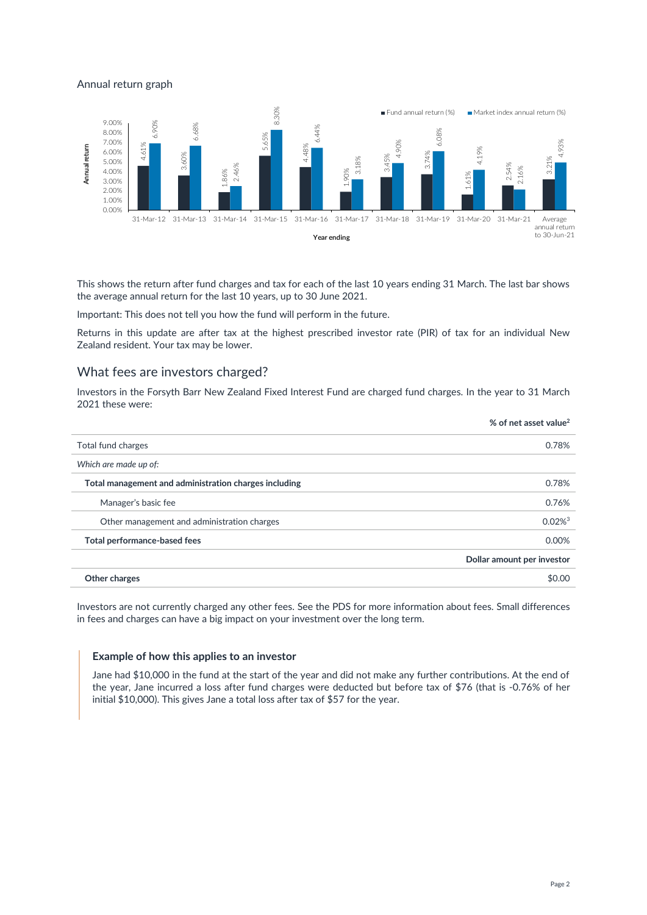#### Annual return graph



This shows the return after fund charges and tax for each of the last 10 years ending 31 March. The last bar shows the average annual return for the last 10 years, up to 30 June 2021.

Important: This does not tell you how the fund will perform in the future.

Returns in this update are after tax at the highest prescribed investor rate (PIR) of tax for an individual New Zealand resident. Your tax may be lower.

### What fees are investors charged?

Investors in the Forsyth Barr New Zealand Fixed Interest Fund are charged fund charges. In the year to 31 March 2021 these were:

|                                                       | % of net asset value <sup>2</sup> |
|-------------------------------------------------------|-----------------------------------|
| Total fund charges                                    | 0.78%                             |
| Which are made up of:                                 |                                   |
| Total management and administration charges including | 0.78%                             |
| Manager's basic fee                                   | 0.76%                             |
| Other management and administration charges           | $0.02\%$ <sup>3</sup>             |
| Total performance-based fees                          | 0.00%                             |
|                                                       | Dollar amount per investor        |
| Other charges                                         | \$0.00                            |

Investors are not currently charged any other fees. See the PDS for more information about fees. Small differences in fees and charges can have a big impact on your investment over the long term.

#### **Example of how this applies to an investor**

Jane had \$10,000 in the fund at the start of the year and did not make any further contributions. At the end of the year, Jane incurred a loss after fund charges were deducted but before tax of \$76 (that is -0.76% of her initial \$10,000). This gives Jane a total loss after tax of \$57 for the year.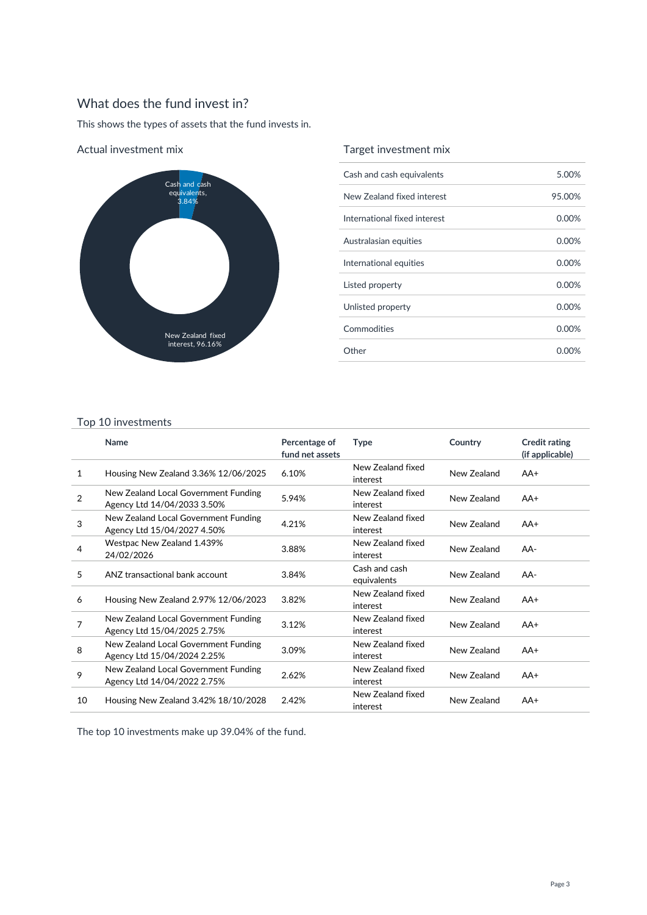# What does the fund invest in?

This shows the types of assets that the fund invests in.



Actual investment mix

## Target investment mix

| Cash and cash equivalents    | 5.00%    |
|------------------------------|----------|
| New Zealand fixed interest   | 95.00%   |
| International fixed interest | 0.00%    |
| Australasian equities        | 0.00%    |
| International equities       | $0.00\%$ |
| Listed property              | $0.00\%$ |
| Unlisted property            | $0.00\%$ |
| Commodities                  | 0.00%    |
| Other                        | 0.00%    |

### Top 10 investments

|                | Name                                                                | Percentage of<br>fund net assets | <b>Type</b>                   | Country     | <b>Credit rating</b><br>(if applicable) |
|----------------|---------------------------------------------------------------------|----------------------------------|-------------------------------|-------------|-----------------------------------------|
| 1              | Housing New Zealand 3.36% 12/06/2025                                | 6.10%                            | New Zealand fixed<br>interest | New Zealand | $AA+$                                   |
| $\overline{2}$ | New Zealand Local Government Funding<br>Agency Ltd 14/04/2033 3.50% | 5.94%                            | New Zealand fixed<br>interest | New Zealand | $AA+$                                   |
| 3              | New Zealand Local Government Funding<br>Agency Ltd 15/04/2027 4.50% | 4.21%                            | New Zealand fixed<br>interest | New Zealand | $AA+$                                   |
| 4              | Westpac New Zealand 1.439%<br>24/02/2026                            | 3.88%                            | New Zealand fixed<br>interest | New Zealand | AA-                                     |
| 5              | ANZ transactional bank account                                      | 3.84%                            | Cash and cash<br>equivalents  | New Zealand | AA-                                     |
| 6              | Housing New Zealand 2.97% 12/06/2023                                | 3.82%                            | New Zealand fixed<br>interest | New Zealand | $AA+$                                   |
| 7              | New Zealand Local Government Funding<br>Agency Ltd 15/04/2025 2.75% | 3.12%                            | New Zealand fixed<br>interest | New Zealand | $AA+$                                   |
| 8              | New Zealand Local Government Funding<br>Agency Ltd 15/04/2024 2.25% | 3.09%                            | New Zealand fixed<br>interest | New Zealand | $AA+$                                   |
| 9              | New Zealand Local Government Funding<br>Agency Ltd 14/04/2022 2.75% | 2.62%                            | New Zealand fixed<br>interest | New Zealand | $AA+$                                   |
| 10             | Housing New Zealand 3.42% 18/10/2028                                | 2.42%                            | New Zealand fixed<br>interest | New Zealand | $AA+$                                   |

The top 10 investments make up 39.04% of the fund.